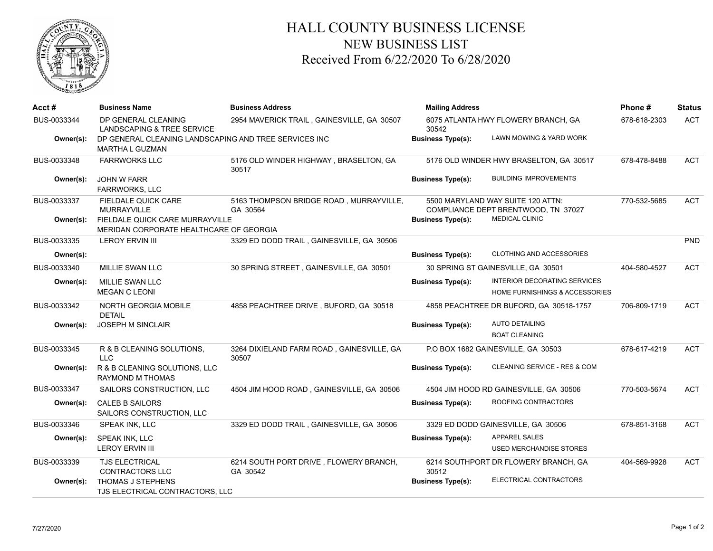

## HALL COUNTY BUSINESS LICENSE NEW BUSINESS LIST Received From 6/22/2020 To 6/28/2020

| Acct #      | <b>Business Name</b>                                                            | <b>Business Address</b>                             | <b>Mailing Address</b>                       |                                                                          | Phone#       | <b>Status</b> |
|-------------|---------------------------------------------------------------------------------|-----------------------------------------------------|----------------------------------------------|--------------------------------------------------------------------------|--------------|---------------|
| BUS-0033344 | DP GENERAL CLEANING<br>LANDSCAPING & TREE SERVICE                               | 2954 MAVERICK TRAIL, GAINESVILLE, GA 30507          | 6075 ATLANTA HWY FLOWERY BRANCH, GA<br>30542 |                                                                          | 678-618-2303 | <b>ACT</b>    |
| Owner(s):   | DP GENERAL CLEANING LANDSCAPING AND TREE SERVICES INC<br><b>MARTHA L GUZMAN</b> |                                                     | <b>Business Type(s):</b>                     | LAWN MOWING & YARD WORK                                                  |              |               |
| BUS-0033348 | <b>FARRWORKS LLC</b>                                                            | 5176 OLD WINDER HIGHWAY, BRASELTON, GA<br>30517     |                                              | 5176 OLD WINDER HWY BRASELTON, GA 30517                                  | 678-478-8488 | <b>ACT</b>    |
| Owner(s):   | <b>JOHN W FARR</b><br><b>FARRWORKS, LLC</b>                                     |                                                     | <b>Business Type(s):</b>                     | <b>BUILDING IMPROVEMENTS</b>                                             |              |               |
| BUS-0033337 | <b>FIELDALE QUICK CARE</b><br><b>MURRAYVILLE</b>                                | 5163 THOMPSON BRIDGE ROAD, MURRAYVILLE,<br>GA 30564 |                                              | 5500 MARYLAND WAY SUITE 120 ATTN:<br>COMPLIANCE DEPT BRENTWOOD, TN 37027 | 770-532-5685 | <b>ACT</b>    |
| Owner(s):   | FIELDALE QUICK CARE MURRAYVILLE<br>MERIDAN CORPORATE HEALTHCARE OF GEORGIA      |                                                     | <b>Business Type(s):</b>                     | <b>MEDICAL CLINIC</b>                                                    |              |               |
| BUS-0033335 | <b>LEROY ERVIN III</b>                                                          | 3329 ED DODD TRAIL, GAINESVILLE, GA 30506           |                                              |                                                                          |              | <b>PND</b>    |
| Owner(s):   |                                                                                 |                                                     | <b>Business Type(s):</b>                     | <b>CLOTHING AND ACCESSORIES</b>                                          |              |               |
| BUS-0033340 | <b>MILLIE SWAN LLC</b>                                                          | 30 SPRING STREET, GAINESVILLE, GA 30501             |                                              | 30 SPRING ST GAINESVILLE, GA 30501                                       | 404-580-4527 | <b>ACT</b>    |
| Owner(s):   | MILLIE SWAN LLC                                                                 |                                                     | <b>Business Type(s):</b>                     | INTERIOR DECORATING SERVICES                                             |              |               |
|             | <b>MEGAN C LEONI</b>                                                            |                                                     |                                              | HOME FURNISHINGS & ACCESSORIES                                           |              |               |
| BUS-0033342 | NORTH GEORGIA MOBILE<br><b>DETAIL</b>                                           | 4858 PEACHTREE DRIVE, BUFORD, GA 30518              |                                              | 4858 PEACHTREE DR BUFORD, GA 30518-1757                                  | 706-809-1719 | <b>ACT</b>    |
| Owner(s):   | <b>JOSEPH M SINCLAIR</b>                                                        |                                                     | <b>Business Type(s):</b>                     | <b>AUTO DETAILING</b>                                                    |              |               |
|             |                                                                                 |                                                     |                                              | <b>BOAT CLEANING</b>                                                     |              |               |
| BUS-0033345 | R & B CLEANING SOLUTIONS,<br><b>LLC</b>                                         | 3264 DIXIELAND FARM ROAD, GAINESVILLE, GA<br>30507  |                                              | P.O BOX 1682 GAINESVILLE, GA 30503                                       | 678-617-4219 | <b>ACT</b>    |
| Owner(s):   | R & B CLEANING SOLUTIONS, LLC<br><b>RAYMOND M THOMAS</b>                        |                                                     | <b>Business Type(s):</b>                     | CLEANING SERVICE - RES & COM                                             |              |               |
| BUS-0033347 | SAILORS CONSTRUCTION, LLC                                                       | 4504 JIM HOOD ROAD, GAINESVILLE, GA 30506           |                                              | 4504 JIM HOOD RD GAINESVILLE, GA 30506                                   | 770-503-5674 | <b>ACT</b>    |
| Owner(s):   | <b>CALEB B SAILORS</b><br>SAILORS CONSTRUCTION, LLC                             |                                                     | <b>Business Type(s):</b>                     | ROOFING CONTRACTORS                                                      |              |               |
| BUS-0033346 | SPEAK INK, LLC                                                                  | 3329 ED DODD TRAIL, GAINESVILLE, GA 30506           |                                              | 3329 ED DODD GAINESVILLE, GA 30506                                       | 678-851-3168 | <b>ACT</b>    |
| Owner(s):   | SPEAK INK, LLC                                                                  |                                                     | <b>Business Type(s):</b>                     | <b>APPAREL SALES</b>                                                     |              |               |
|             | <b>LEROY ERVIN III</b>                                                          |                                                     |                                              | <b>USED MERCHANDISE STORES</b>                                           |              |               |
| BUS-0033339 | <b>TJS ELECTRICAL</b><br><b>CONTRACTORS LLC</b>                                 | 6214 SOUTH PORT DRIVE, FLOWERY BRANCH,<br>GA 30542  | 30512                                        | 6214 SOUTHPORT DR FLOWERY BRANCH, GA                                     | 404-569-9928 | <b>ACT</b>    |
| Owner(s):   | THOMAS J STEPHENS<br>TJS ELECTRICAL CONTRACTORS, LLC                            |                                                     | <b>Business Type(s):</b>                     | ELECTRICAL CONTRACTORS                                                   |              |               |